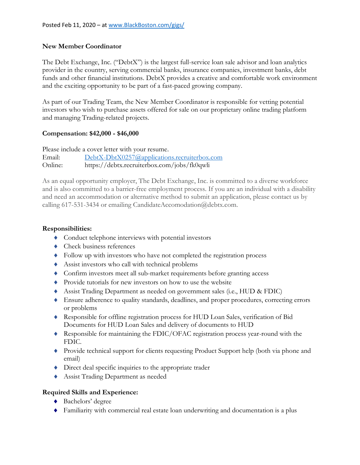## **New Member Coordinator**

The Debt Exchange, Inc. ("DebtX") is the largest full-service loan sale advisor and loan analytics provider in the country, serving commercial banks, insurance companies, investment banks, debt funds and other financial institutions. DebtX provides a creative and comfortable work environment and the exciting opportunity to be part of a fast-paced growing company.

As part of our Trading Team, the New Member Coordinator is responsible for vetting potential investors who wish to purchase assets offered for sale on our proprietary online trading platform and managing Trading-related projects.

## **Compensation: \$42,000 - \$46,000**

Please include a cover letter with your resume.

Email: [DebtX-DbtX0257@applications.recruiterbox.com](mailto:DebtX-DbtX0257@applications.recruiterbox.com) Online: https://debtx.recruiterbox.com/jobs/fk0qwli

As an equal opportunity employer, The Debt Exchange, Inc. is committed to a diverse workforce and is also committed to a barrier-free employment process. If you are an individual with a disability and need an accommodation or alternative method to submit an application, please contact us by calling 617-531-3434 or emailing CandidateAccomodation@debtx.com.

## **Responsibilities:**

- Conduct telephone interviews with potential investors
- ◆ Check business references
- Follow up with investors who have not completed the registration process
- Assist investors who call with technical problems
- Confirm investors meet all sub-market requirements before granting access
- Provide tutorials for new investors on how to use the website
- Assist Trading Department as needed on government sales (i.e., HUD & FDIC)
- Ensure adherence to quality standards, deadlines, and proper procedures, correcting errors or problems
- Responsible for offline registration process for HUD Loan Sales, verification of Bid Documents for HUD Loan Sales and delivery of documents to HUD
- Responsible for maintaining the FDIC/OFAC registration process year-round with the FDIC.
- Provide technical support for clients requesting Product Support help (both via phone and email)
- Direct deal specific inquiries to the appropriate trader
- Assist Trading Department as needed

## **Required Skills and Experience:**

- Bachelors' degree
- Familiarity with commercial real estate loan underwriting and documentation is a plus